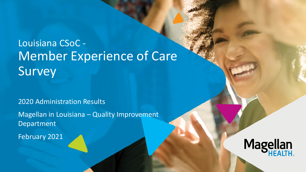# Louisiana CSoC - Member Experience of Care Survey

### 2020 Administration Results

Magellan in Louisiana – Quality Improvement Department

February 2021

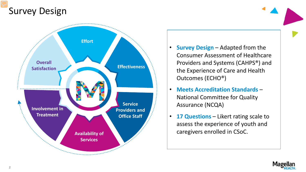## Survey Design



- **Survey Design**  Adapted from the Consumer Assessment of Healthcare Providers and Systems (CAHPS®) and the Experience of Care and Health Outcomes (ECHO®)
- **Meets Accreditation Standards**  National Committee for Quality Assurance (NCQA)
- **17 Questions**  Likert rating scale to assess the experience of youth and caregivers enrolled in CSoC.

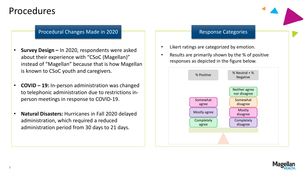### Procedures

#### Procedural Changes Made in 2020 **Response Categories** Response Categories

- **Survey Design –** In 2020, respondents were asked about their experience with "CSoC (Magellan)" instead of "Magellan" because that is how Magellan is known to CSoC youth and caregivers.
- **COVID – 19:** In-person administration was changed to telephonic administration due to restrictions inperson meetings in response to COVID-19.
- **Natural Disasters:** Hurricanes in Fall 2020 delayed administration, which required a reduced administration period from 30 days to 21 days.

- Likert ratings are categorized by emotion.
- Results are primarily shown by the % of positive responses as depicted in the figure below.



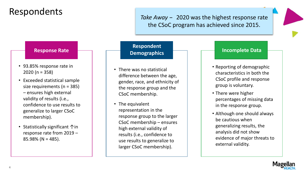### Respondents

*Take Away* − 2020 was the highest response rate the CSoC program has achieved since 2015.

#### **Response Rate**

- 93.85% response rate in 2020 (n = 358)
- Exceeded statistical sample size requirements (n = 385) – ensures high external validity of results (i.e., confidence to use results to generalize to larger CSoC membership).
- Statistically significant ↑in response rate from 2019 –  $85.98\%$  (N = 485).

#### **Respondent Demographics**

- There was no statistical difference between the age, gender, race, and ethnicity of the response group and the CSoC membership.
- The equivalent representation in the response group to the larger CSoC membership – ensures high external validity of results (i.e., confidence to use results to generalize to larger CSoC membership).

#### **Incomplete Data**

- Reporting of demographic characteristics in both the CSoC profile and response group is voluntary.
- There were higher percentages of missing data in the response group.
- Although one should always be cautious when generalizing results, the analysis did not show evidence of major threats to external validity.

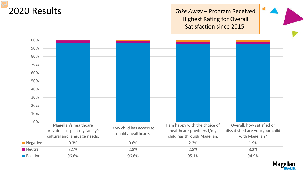### 2020 Results

*Take Away* – Program Received Highest Rating for Overall Satisfaction since 2015.



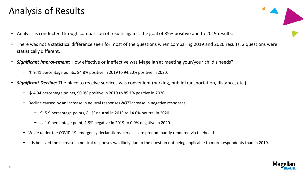## Analysis of Results

- Analysis is conducted through comparison of results against the goal of 85% positive and to 2019 results.
- There was not a statistical difference seen for most of the questions when comparing 2019 and 2020 results. 2 questions were statistically different.
- *Significant Improvement:* How effective or ineffective was Magellan at meeting your/your child's needs?
	- − ↑ 9.41 percentage points, 84.8% positive in 2019 to 94.20% positive in 2020.
- *Significant Decline:* The place to receive services was convenient (parking, public transportation, distance, etc.).
	- − ↓ 4.94 percentage points, 90.0% positive in 2019 to 85.1% positive in 2020.
	- − Decline caused by an increase in neutral responses *NOT* increase in negative responses
		- − ↑ 5.9 percentage points, 8.1% neutral in 2019 to 14.0% neutral in 2020.
		- − ↓ 1.0 percentage point, 1.9% negative in 2019 to 0.9% negative in 2020.
	- − While under the COVID-19 emergency declarations, services are predominantly rendered via telehealth.
	- − It is believed the increase in neutral responses was likely due to the question not being applicable to more respondents than in 2019.

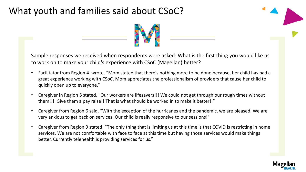### What youth and families said about CSoC?



Sample responses we received when respondents were asked: What is the first thing you would like us to work on to make your child's experience with CSoC (Magellan) better?

- Facilitator from Region 4 wrote, "Mom stated that there's nothing more to be done because, her child has had a great experience working with CSoC. Mom appreciates the professionalism of providers that cause her child to quickly open up to everyone."
- Caregiver in Region 5 stated, "Our workers are lifesavers!!! We could not get through our rough times without them!!! Give them a pay raise!! That is what should be worked in to make it better!!"
- Caregiver from Region 6 said, "With the exception of the hurricanes and the pandemic, we are pleased. We are very anxious to get back on services. Our child is really responsive to our sessions!"
- Caregiver from Region 9 stated, "The only thing that is limiting us at this time is that COVID is restricting in home services. We are not comfortable with face to face at this time but having those services would make things better. Currently telehealth is providing services for us."

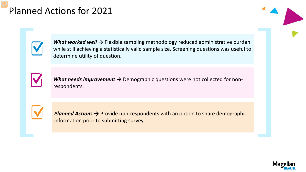### Planned Actions for 2021

*What worked well* → Flexible sampling methodology reduced administrative burden while still achieving a statistically valid sample size. Screening questions was useful to determine utility of question.



*What needs improvement →* Demographic questions were not collected for nonrespondents.

*Planned Actions →* Provide non-respondents with an option to share demographic information prior to submitting survey.

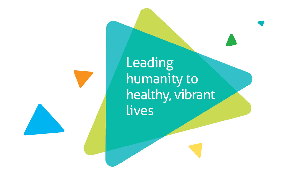